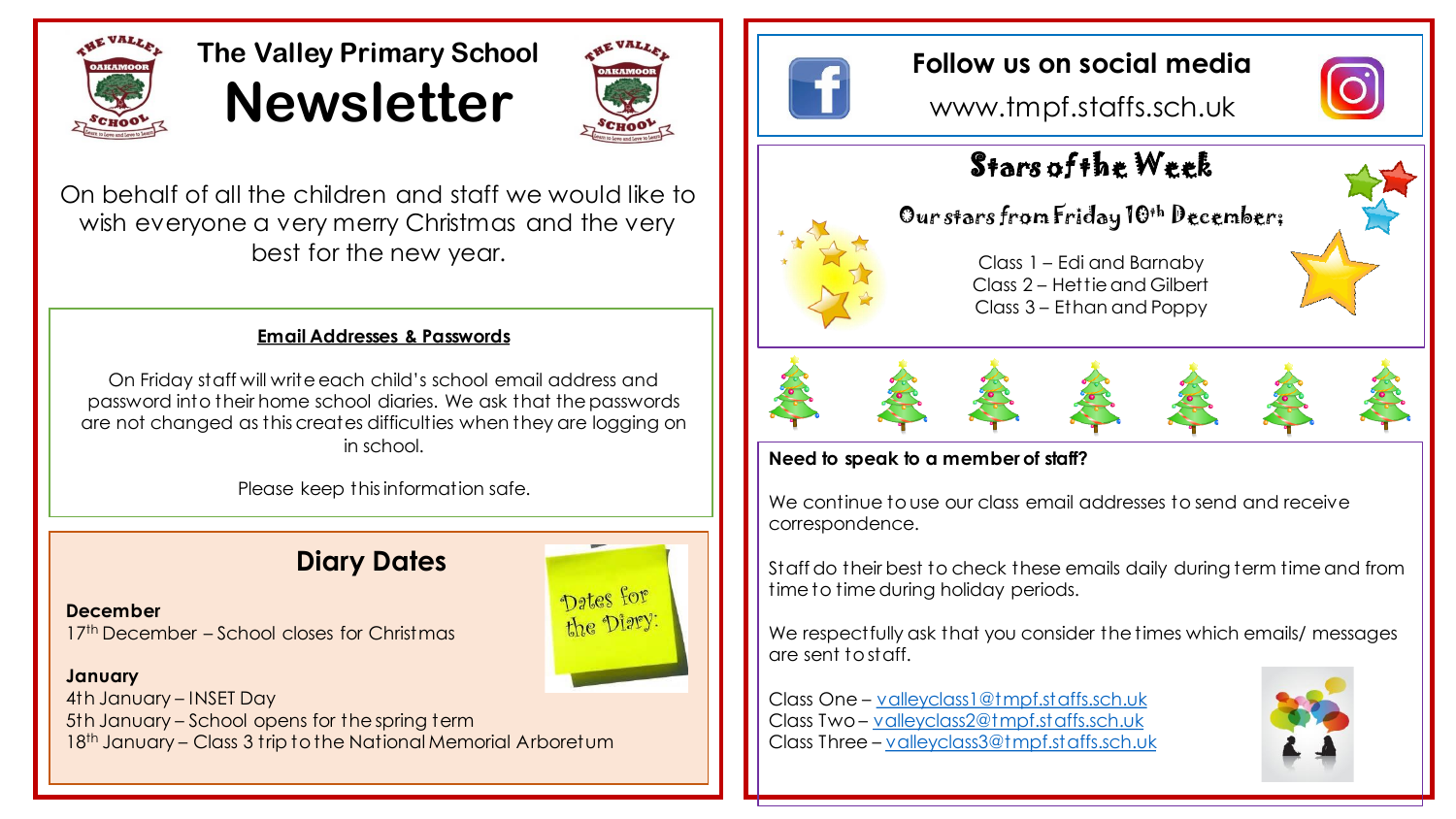

# **The Valley Primary School Newsletter**



On behalf of all the children and staff we would like to wish everyone a very merry Christmas and the very best for the new year.

### **Email Addresses & Passwords**

On Friday staff will write each child's school email address and password into their home school diaries. We ask that the passwords are not changed as this creates difficulties when they are logging on in school.

Please keep this information safe.

## **Diary Dates**

**December** 17th December – School closes for Christmas

#### **January**

4th January – INSET Day 5th January – School opens for the spring term 18th January – Class 3 trip to the National Memorial Arboretum



## **Follow us on social media**

www.tmpf.staffs.sch.uk



# Stars of the Week

## Our stars from Friday 10<sup>th</sup> December;



Class 1 – Edi and Barnaby Class 2 – Hettie and Gilbert Class 3 – Ethan and Poppy









### **Need to speak to a member of staff?**

We continue to use our class email addresses to send and receive correspondence.

Staff do their best to check these emails daily during term time and from time to time during holiday periods.

We respectfully ask that you consider the times which emails/ messages are sent to staff.

Class One – [valleyclass1@tmpf.staffs.sch.uk](mailto:valleyclass1@tmpf.staffs.sch.uk) Class Two – [valleyclass2@tmpf.staffs.sch.uk](mailto:valleyclass2@tmpf.staffs.sch.uk) Class Three – [valleyclass3@tmpf.staffs.sch.uk](mailto:valleyclass3@tmpf.staffs.sch.uk)